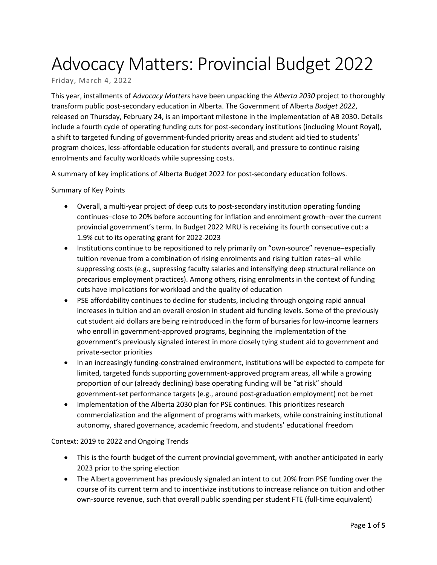# Advocacy Matters: Provincial Budget 2022

# Friday, March 4, 2022

This year, installments of *Advocacy Matters* have been unpacking the *Alberta 2030* project to thoroughly transform public post-secondary education in Alberta. The Government of Alberta *Budget 2022*, released on Thursday, February 24, is an important milestone in the implementation of AB 2030. Details include a fourth cycle of operating funding cuts for post-secondary institutions (including Mount Royal), a shift to targeted funding of government-funded priority areas and student aid tied to students' program choices, less-affordable education for students overall, and pressure to continue raising enrolments and faculty workloads while supressing costs.

A summary of key implications of Alberta Budget 2022 for post-secondary education follows.

#### Summary of Key Points

- Overall, a multi-year project of deep cuts to post-secondary institution operating funding continues–close to 20% before accounting for inflation and enrolment growth–over the current provincial government's term. In Budget 2022 MRU is receiving its fourth consecutive cut: a 1.9% cut to its operating grant for 2022-2023
- Institutions continue to be repositioned to rely primarily on "own-source" revenue–especially tuition revenue from a combination of rising enrolments and rising tuition rates–all while suppressing costs (e.g., supressing faculty salaries and intensifying deep structural reliance on precarious employment practices). Among others, rising enrolments in the context of funding cuts have implications for workload and the quality of education
- PSE affordability continues to decline for students, including through ongoing rapid annual increases in tuition and an overall erosion in student aid funding levels. Some of the previously cut student aid dollars are being reintroduced in the form of bursaries for low-income learners who enroll in government-approved programs, beginning the implementation of the government's previously signaled interest in more closely tying student aid to government and private-sector priorities
- In an increasingly funding-constrained environment, institutions will be expected to compete for limited, targeted funds supporting government-approved program areas, all while a growing proportion of our (already declining) base operating funding will be "at risk" should government-set performance targets (e.g., around post-graduation employment) not be met
- Implementation of the Alberta 2030 plan for PSE continues. This prioritizes research commercialization and the alignment of programs with markets, while constraining institutional autonomy, shared governance, academic freedom, and students' educational freedom

#### Context: 2019 to 2022 and Ongoing Trends

- This is the fourth budget of the current provincial government, with another anticipated in early 2023 prior to the spring election
- The Alberta government has previously signaled an intent to cut 20% from PSE funding over the course of its current term and to incentivize institutions to increase reliance on tuition and other own-source revenue, such that overall public spending per student FTE (full-time equivalent)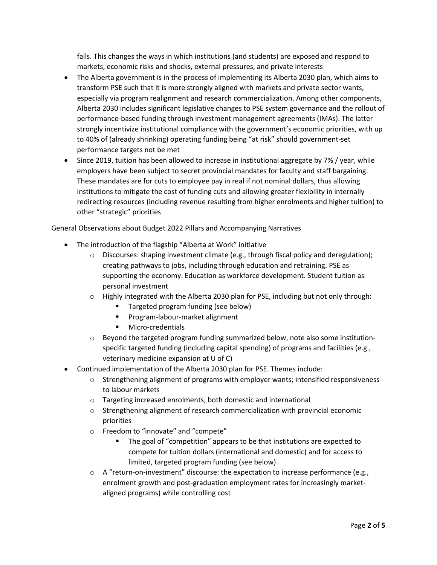falls. This changes the ways in which institutions (and students) are exposed and respond to markets, economic risks and shocks, external pressures, and private interests

- The Alberta government is in the process of implementing its Alberta 2030 plan, which aims to transform PSE such that it is more strongly aligned with markets and private sector wants, especially via program realignment and research commercialization. Among other components, Alberta 2030 includes significant legislative changes to PSE system governance and the rollout of performance-based funding through investment management agreements (IMAs). The latter strongly incentivize institutional compliance with the government's economic priorities, with up to 40% of (already shrinking) operating funding being "at risk" should government-set performance targets not be met
- Since 2019, tuition has been allowed to increase in institutional aggregate by 7% / year, while employers have been subject to secret provincial mandates for faculty and staff bargaining. These mandates are for cuts to employee pay in real if not nominal dollars, thus allowing institutions to mitigate the cost of funding cuts and allowing greater flexibility in internally redirecting resources (including revenue resulting from higher enrolments and higher tuition) to other "strategic" priorities

General Observations about Budget 2022 Pillars and Accompanying Narratives

- The introduction of the flagship "Alberta at Work" initiative
	- o Discourses: shaping investment climate (e.g., through fiscal policy and deregulation); creating pathways to jobs, including through education and retraining. PSE as supporting the economy. Education as workforce development. Student tuition as personal investment
	- $\circ$  Highly integrated with the Alberta 2030 plan for PSE, including but not only through:
		- Targeted program funding (see below)
		- **Program-labour-market alignment**
		- **Micro-credentials**
	- $\circ$  Beyond the targeted program funding summarized below, note also some institutionspecific targeted funding (including capital spending) of programs and facilities (e.g., veterinary medicine expansion at U of C)
- Continued implementation of the Alberta 2030 plan for PSE. Themes include:
	- $\circ$  Strengthening alignment of programs with employer wants; intensified responsiveness to labour markets
	- o Targeting increased enrolments, both domestic and international
	- $\circ$  Strengthening alignment of research commercialization with provincial economic priorities
	- o Freedom to "innovate" and "compete"
		- The goal of "competition" appears to be that institutions are expected to compete for tuition dollars (international and domestic) and for access to limited, targeted program funding (see below)
	- $\circ$  A "return-on-investment" discourse: the expectation to increase performance (e.g., enrolment growth and post-graduation employment rates for increasingly marketaligned programs) while controlling cost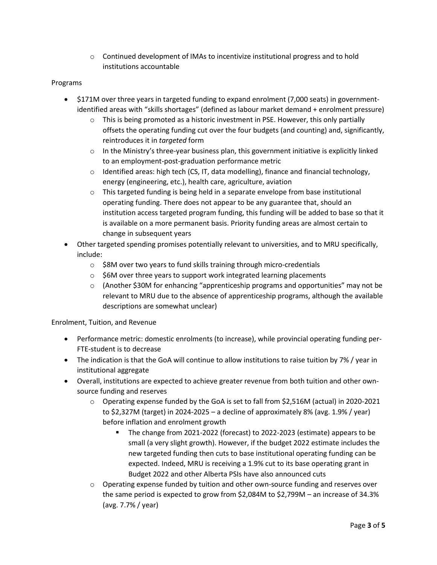o Continued development of IMAs to incentivize institutional progress and to hold institutions accountable

### Programs

- \$171M over three years in targeted funding to expand enrolment (7,000 seats) in governmentidentified areas with "skills shortages" (defined as labour market demand + enrolment pressure)
	- $\circ$  This is being promoted as a historic investment in PSE. However, this only partially offsets the operating funding cut over the four budgets (and counting) and, significantly, reintroduces it in *targeted* form
	- $\circ$  In the Ministry's three-year business plan, this government initiative is explicitly linked to an employment-post-graduation performance metric
	- $\circ$  Identified areas: high tech (CS, IT, data modelling), finance and financial technology, energy (engineering, etc.), health care, agriculture, aviation
	- o This targeted funding is being held in a separate envelope from base institutional operating funding. There does not appear to be any guarantee that, should an institution access targeted program funding, this funding will be added to base so that it is available on a more permanent basis. Priority funding areas are almost certain to change in subsequent years
- Other targeted spending promises potentially relevant to universities, and to MRU specifically, include:
	- $\circ$  \$8M over two years to fund skills training through micro-credentials
	- o \$6M over three years to support work integrated learning placements
	- $\circ$  (Another \$30M for enhancing "apprenticeship programs and opportunities" may not be relevant to MRU due to the absence of apprenticeship programs, although the available descriptions are somewhat unclear)

#### Enrolment, Tuition, and Revenue

- Performance metric: domestic enrolments (to increase), while provincial operating funding per-FTE-student is to decrease
- The indication is that the GoA will continue to allow institutions to raise tuition by 7% / year in institutional aggregate
- Overall, institutions are expected to achieve greater revenue from both tuition and other ownsource funding and reserves
	- o Operating expense funded by the GoA is set to fall from \$2,516M (actual) in 2020-2021 to \$2,327M (target) in 2024-2025 – a decline of approximately 8% (avg. 1.9% / year) before inflation and enrolment growth
		- The change from 2021-2022 (forecast) to 2022-2023 (estimate) appears to be small (a very slight growth). However, if the budget 2022 estimate includes the new targeted funding then cuts to base institutional operating funding can be expected. Indeed, MRU is receiving a 1.9% cut to its base operating grant in Budget 2022 and other Alberta PSIs have also announced cuts
	- o Operating expense funded by tuition and other own-source funding and reserves over the same period is expected to grow from \$2,084M to \$2,799M – an increase of 34.3% (avg. 7.7% / year)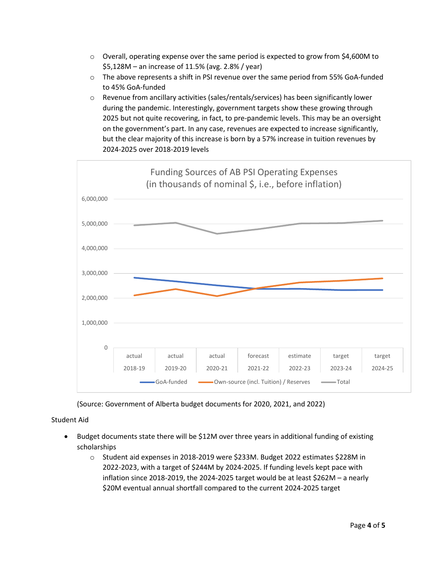- $\circ$  Overall, operating expense over the same period is expected to grow from \$4,600M to \$5,128M – an increase of 11.5% (avg. 2.8% / year)
- $\circ$  The above represents a shift in PSI revenue over the same period from 55% GoA-funded to 45% GoA-funded
- o Revenue from ancillary activities (sales/rentals/services) has been significantly lower during the pandemic. Interestingly, government targets show these growing through 2025 but not quite recovering, in fact, to pre-pandemic levels. This may be an oversight on the government's part. In any case, revenues are expected to increase significantly, but the clear majority of this increase is born by a 57% increase in tuition revenues by 2024-2025 over 2018-2019 levels



(Source: Government of Alberta budget documents for 2020, 2021, and 2022)

## Student Aid

- Budget documents state there will be \$12M over three years in additional funding of existing scholarships
	- o Student aid expenses in 2018-2019 were \$233M. Budget 2022 estimates \$228M in 2022-2023, with a target of \$244M by 2024-2025. If funding levels kept pace with inflation since 2018-2019, the 2024-2025 target would be at least \$262M – a nearly \$20M eventual annual shortfall compared to the current 2024-2025 target